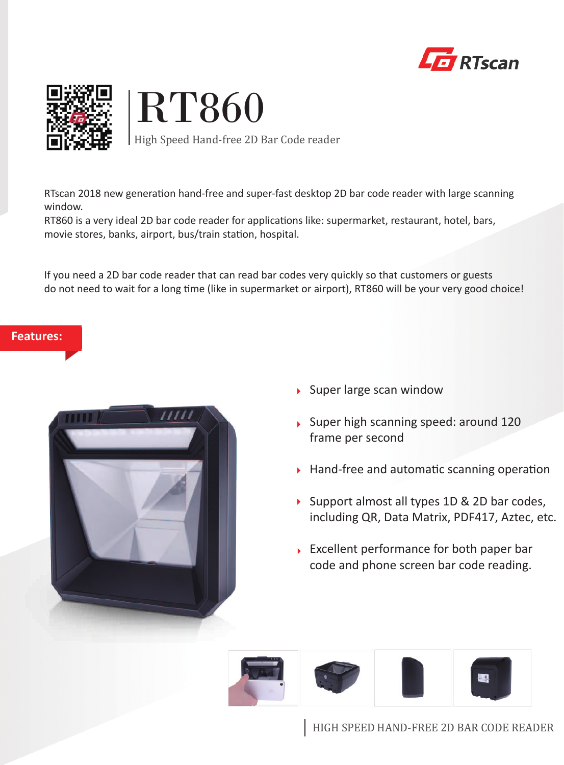



# RT860

High Speed Hand-free 2D Bar Code reader

RTscan 2018 new generation hand-free and super-fast desktop 2D bar code reader with large scanning window.

RT860 is a very ideal 2D bar code reader for applications like: supermarket, restaurant, hotel, bars, movie stores, banks, airport, bus/train station, hospital.

If you need a 2D bar code reader that can read bar codes very quickly so that customers or guests do not need to wait for a long time (like in supermarket or airport), RT860 will be your very good choice!

## **Features:**



- $\rightarrow$  Super large scan window
- Super high scanning speed: around 120 frame per second
- $\triangleright$  Hand-free and automatic scanning operation
- Support almost all types 1D  $&$  2D bar codes, including QR, Data Matrix, PDF417, Aztec, etc.
- Excellent performance for both paper bar code and phone screen bar code reading.